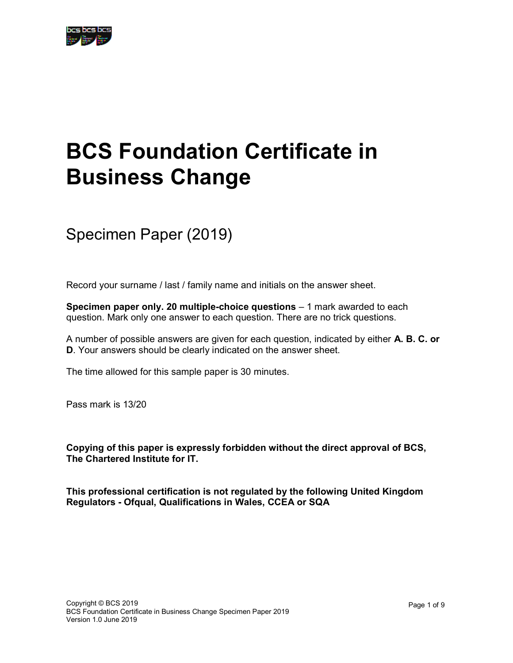## BCS Foundation Certificate in Business Change

Specimen Paper (2019)

Record your surname / last / family name and initials on the answer sheet.

Specimen paper only. 20 multiple-choice questions – 1 mark awarded to each question. Mark only one answer to each question. There are no trick questions.

A number of possible answers are given for each question, indicated by either A. B. C. or D. Your answers should be clearly indicated on the answer sheet.

The time allowed for this sample paper is 30 minutes.

Pass mark is 13/20

Copying of this paper is expressly forbidden without the direct approval of BCS, The Chartered Institute for IT.

This professional certification is not regulated by the following United Kingdom Regulators - Ofqual, Qualifications in Wales, CCEA or SQA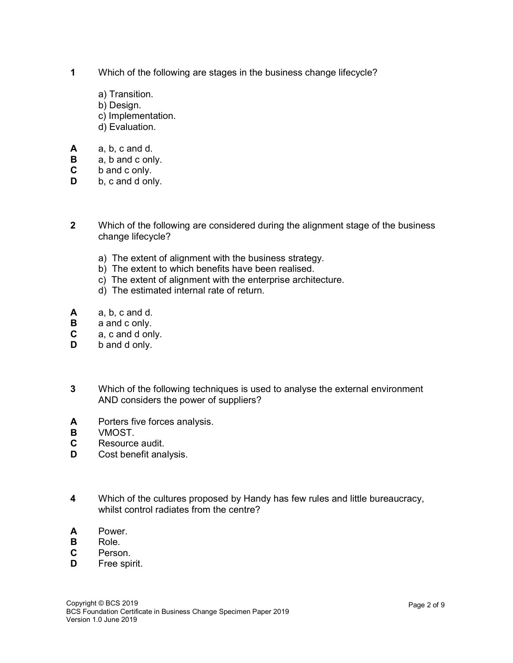- 1 Which of the following are stages in the business change lifecycle?
	- a) Transition.
	- b) Design.
	- c) Implementation.
	- d) Evaluation.
- A a, b, c and d.
- **B** a, b and c only.
- C b and c only.
- **D** b, c and d only.
- 2 Which of the following are considered during the alignment stage of the business change lifecycle?
	- a) The extent of alignment with the business strategy.
	- b) The extent to which benefits have been realised.
	- c) The extent of alignment with the enterprise architecture.
	- d) The estimated internal rate of return.
- A a, b, c and d.
- **B** a and c only.
- C a, c and d only.
- **D** b and d only.
- 3 Which of the following techniques is used to analyse the external environment AND considers the power of suppliers?
- A Porters five forces analysis.
- B VMOST.
- C Resource audit.
- **D** Cost benefit analysis.
- 4 Which of the cultures proposed by Handy has few rules and little bureaucracy, whilst control radiates from the centre?
- A Power.
- B Role.
- C Person.
- **D** Free spirit.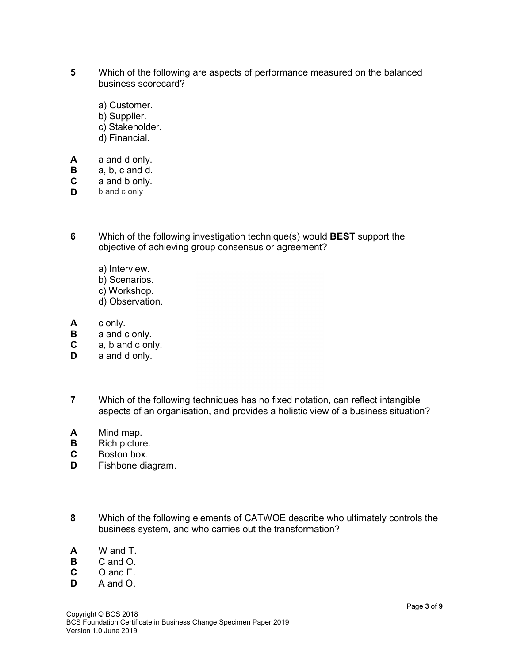- 5 Which of the following are aspects of performance measured on the balanced business scorecard?
	- a) Customer.
	- b) Supplier.
	- c) Stakeholder.
	- d) Financial.
- A a and d only.
- B a, b, c and d.
- C a and b only.
- **D** b and c only
- 6 Which of the following investigation technique(s) would BEST support the objective of achieving group consensus or agreement?
	- a) Interview.
	- b) Scenarios.
	- c) Workshop.
	- d) Observation.
- A c only.
- **B** a and c only.
- C a, b and c only.
- **D** a and d only.
- 7 Which of the following techniques has no fixed notation, can reflect intangible aspects of an organisation, and provides a holistic view of a business situation?
- A Mind map.
- **B** Rich picture.
- C Boston box.
- D Fishbone diagram.
- 8 Which of the following elements of CATWOE describe who ultimately controls the business system, and who carries out the transformation?
- A W and T.
- B C and O.
- C O and E.
- D A and O.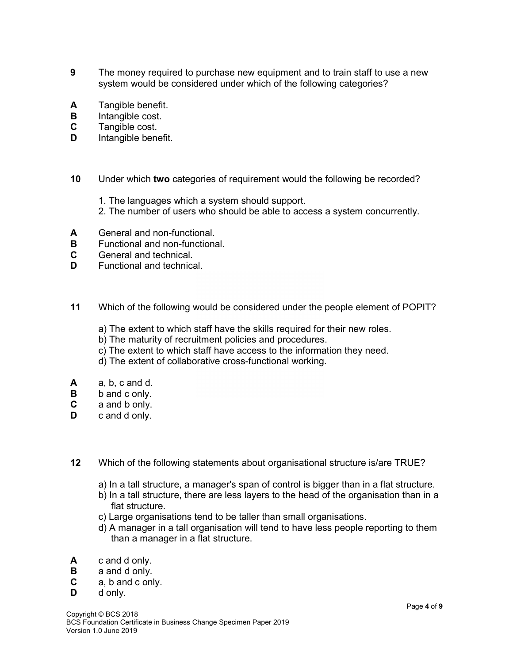- 9 The money required to purchase new equipment and to train staff to use a new system would be considered under which of the following categories?
- A Tangible benefit.
- **B** Intangible cost.
- C Tangible cost.
- **D** Intangible benefit.
- 10 Under which two categories of requirement would the following be recorded?
	- 1. The languages which a system should support.
	- 2. The number of users who should be able to access a system concurrently.
- A General and non-functional.
- **B** Functional and non-functional.
- C General and technical.
- D Functional and technical
- 11 Which of the following would be considered under the people element of POPIT?
	- a) The extent to which staff have the skills required for their new roles.
	- b) The maturity of recruitment policies and procedures.
	- c) The extent to which staff have access to the information they need.
	- d) The extent of collaborative cross-functional working.
- A a, b, c and d.
- B b and c only.
- C a and b only.
- **D** c and d only.
- 12 Which of the following statements about organisational structure is/are TRUE?
	- a) In a tall structure, a manager's span of control is bigger than in a flat structure.
	- b) In a tall structure, there are less layers to the head of the organisation than in a flat structure.
	- c) Large organisations tend to be taller than small organisations.
	- d) A manager in a tall organisation will tend to have less people reporting to them than a manager in a flat structure.
- A c and d only.
- B a and d only.
- C a, b and c only.
- D d only.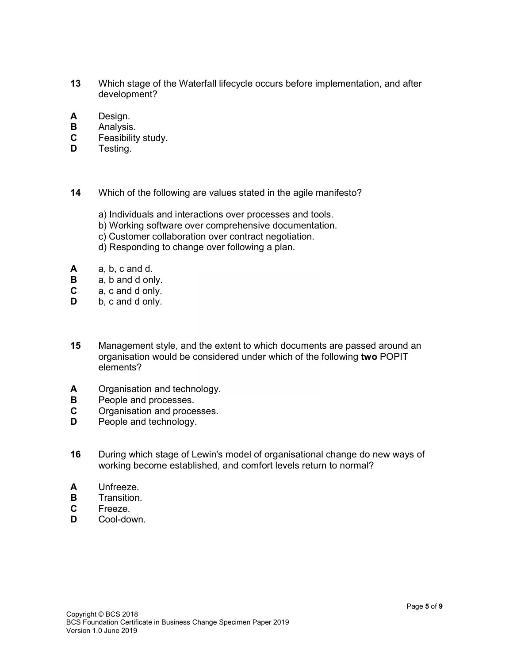- 13 Which stage of the Waterfall lifecycle occurs before implementation, and after development?
- A Design.
- **B** Analysis.
- C Feasibility study.
- **D** Testing.
- 14 Which of the following are values stated in the agile manifesto?
	- a) Individuals and interactions over processes and tools.
	- b) Working software over comprehensive documentation.
	- c) Customer collaboration over contract negotiation.
	- d) Responding to change over following a plan.
- A a, b, c and d.
- **B** a, b and d only.
- C a, c and d only.
- **D** b, c and d only.
- 15 Management style, and the extent to which documents are passed around an organisation would be considered under which of the following two POPIT elements?
- A Organisation and technology.
- **B** People and processes.
- C Organisation and processes.
- **D** People and technology.
- 16 During which stage of Lewin's model of organisational change do new ways of working become established, and comfort levels return to normal?
- A Unfreeze.
- **B** Transition.
- C Freeze.
- D Cool-down.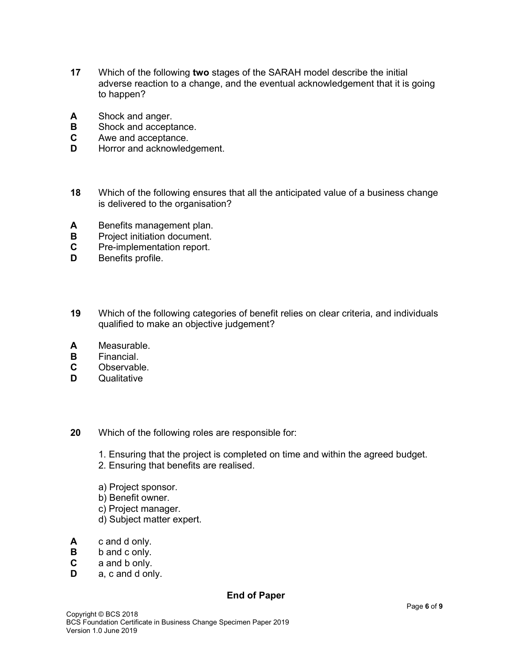- 17 Which of the following two stages of the SARAH model describe the initial adverse reaction to a change, and the eventual acknowledgement that it is going to happen?
- A Shock and anger.
- **B** Shock and acceptance.
- C Awe and acceptance.
- **D** Horror and acknowledgement.
- 18 Which of the following ensures that all the anticipated value of a business change is delivered to the organisation?
- A Benefits management plan.
- **B** Project initiation document.
- C Pre-implementation report.
- **D** Benefits profile.
- 19 Which of the following categories of benefit relies on clear criteria, and individuals qualified to make an objective judgement?
- A Measurable.
- B Financial.
- C Observable.
- **D** Qualitative
- 20 Which of the following roles are responsible for:
	- 1. Ensuring that the project is completed on time and within the agreed budget.
	- 2. Ensuring that benefits are realised.
	- a) Project sponsor.
	- b) Benefit owner.
	- c) Project manager.
	- d) Subject matter expert.
- A c and d only.
- **B** b and c only.
- C a and b only.
- **D** a, c and d only.

## End of Paper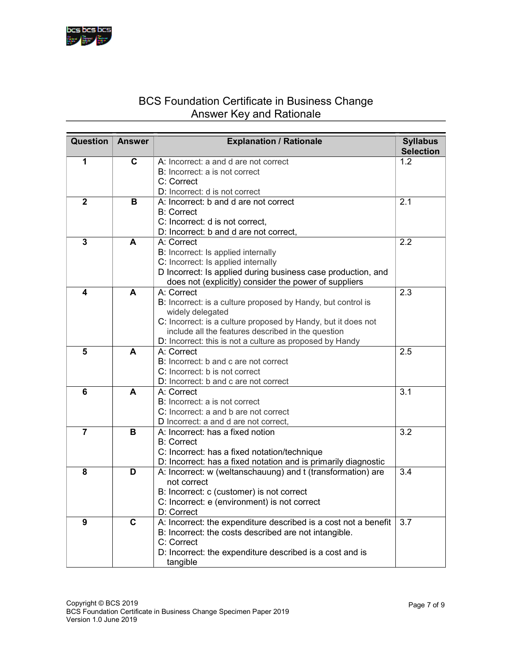## BCS Foundation Certificate in Business Change Answer Key and Rationale

| <b>Question</b> | <b>Answer</b> | <b>Explanation / Rationale</b>                                  | <b>Syllabus</b>  |
|-----------------|---------------|-----------------------------------------------------------------|------------------|
|                 |               |                                                                 | <b>Selection</b> |
| 1               | C             | A: Incorrect: a and d are not correct                           | 1.2              |
|                 |               | <b>B:</b> Incorrect: a is not correct                           |                  |
|                 |               | C: Correct                                                      |                  |
|                 |               | D: Incorrect: d is not correct                                  |                  |
| $\overline{2}$  | B             | A: Incorrect: b and d are not correct                           | 2.1              |
|                 |               | <b>B: Correct</b>                                               |                  |
|                 |               | C: Incorrect: d is not correct,                                 |                  |
|                 |               | D: Incorrect: b and d are not correct,                          |                  |
| $\overline{3}$  | A             | A: Correct                                                      | 2.2              |
|                 |               | B: Incorrect: Is applied internally                             |                  |
|                 |               | C: Incorrect: Is applied internally                             |                  |
|                 |               | D Incorrect: Is applied during business case production, and    |                  |
|                 |               | does not (explicitly) consider the power of suppliers           |                  |
| 4               | A             | A: Correct                                                      | 2.3              |
|                 |               | B: Incorrect: is a culture proposed by Handy, but control is    |                  |
|                 |               | widely delegated                                                |                  |
|                 |               | C: Incorrect: is a culture proposed by Handy, but it does not   |                  |
|                 |               | include all the features described in the question              |                  |
|                 |               | D: Incorrect: this is not a culture as proposed by Handy        |                  |
| 5               | A             | A: Correct                                                      | 2.5              |
|                 |               | B: Incorrect: b and c are not correct                           |                  |
|                 |               | C: Incorrect: b is not correct                                  |                  |
|                 |               | D: Incorrect: b and c are not correct                           |                  |
| 6               | A             | A: Correct                                                      | 3.1              |
|                 |               | B: Incorrect: a is not correct                                  |                  |
|                 |               | C: Incorrect: a and b are not correct                           |                  |
|                 |               | D Incorrect: a and d are not correct,                           |                  |
| $\overline{7}$  | в             | A: Incorrect: has a fixed notion                                | 3.2              |
|                 |               | <b>B:</b> Correct                                               |                  |
|                 |               | C: Incorrect: has a fixed notation/technique                    |                  |
|                 |               | D: Incorrect: has a fixed notation and is primarily diagnostic  |                  |
| 8               | D             | A: Incorrect: w (weltanschauung) and t (transformation) are     | 3.4              |
|                 |               | not correct                                                     |                  |
|                 |               | B: Incorrect: c (customer) is not correct                       |                  |
|                 |               | C: Incorrect: e (environment) is not correct                    |                  |
|                 |               | D: Correct                                                      |                  |
| 9               | C             | A: Incorrect: the expenditure described is a cost not a benefit | 3.7              |
|                 |               | B: Incorrect: the costs described are not intangible.           |                  |
|                 |               | C: Correct                                                      |                  |
|                 |               | D: Incorrect: the expenditure described is a cost and is        |                  |
|                 |               | tangible                                                        |                  |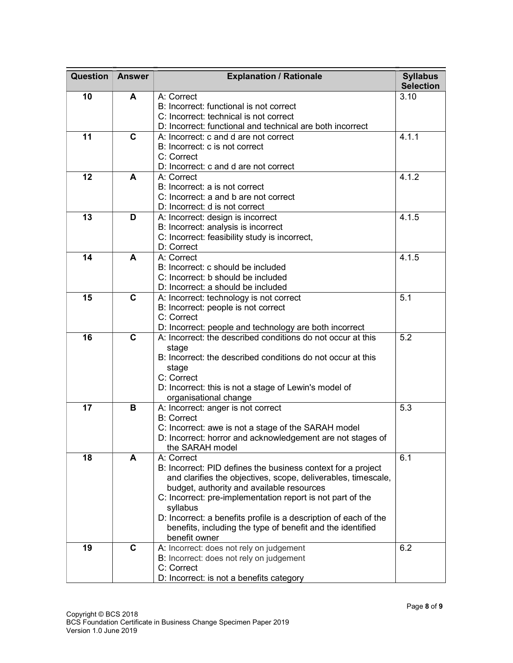| <b>Question</b> | <b>Answer</b> | <b>Explanation / Rationale</b>                                           | <b>Syllabus</b><br><b>Selection</b> |
|-----------------|---------------|--------------------------------------------------------------------------|-------------------------------------|
| 10              | A             | A: Correct                                                               | 3.10                                |
|                 |               | B: Incorrect: functional is not correct                                  |                                     |
|                 |               | C: Incorrect: technical is not correct                                   |                                     |
|                 |               | D: Incorrect: functional and technical are both incorrect                |                                     |
| 11              | C             | A: Incorrect: c and d are not correct                                    | 4.1.1                               |
|                 |               | B: Incorrect: c is not correct                                           |                                     |
|                 |               | C: Correct                                                               |                                     |
|                 |               | D: Incorrect: c and d are not correct                                    |                                     |
| 12              | A             | A: Correct                                                               | 4.1.2                               |
|                 |               | B: Incorrect: a is not correct                                           |                                     |
|                 |               | C: Incorrect: a and b are not correct                                    |                                     |
|                 |               | D: Incorrect: d is not correct                                           |                                     |
| 13              | D             | A: Incorrect: design is incorrect                                        | 4.1.5                               |
|                 |               | B: Incorrect: analysis is incorrect                                      |                                     |
|                 |               | C: Incorrect: feasibility study is incorrect,                            |                                     |
|                 |               | D: Correct                                                               |                                     |
| 14              | A             | A: Correct                                                               | 4.1.5                               |
|                 |               | B: Incorrect: c should be included                                       |                                     |
|                 |               | C: Incorrect: b should be included<br>D: Incorrect: a should be included |                                     |
| 15              | C             | A: Incorrect: technology is not correct                                  | 5.1                                 |
|                 |               | B: Incorrect: people is not correct                                      |                                     |
|                 |               | C: Correct                                                               |                                     |
|                 |               | D: Incorrect: people and technology are both incorrect                   |                                     |
| 16              | $\mathbf C$   | A: Incorrect: the described conditions do not occur at this              | 5.2                                 |
|                 |               | stage                                                                    |                                     |
|                 |               | B: Incorrect: the described conditions do not occur at this              |                                     |
|                 |               | stage                                                                    |                                     |
|                 |               | C: Correct                                                               |                                     |
|                 |               | D: Incorrect: this is not a stage of Lewin's model of                    |                                     |
|                 |               | organisational change                                                    |                                     |
| 17              | B             | A: Incorrect: anger is not correct                                       | 5.3                                 |
|                 |               | <b>B:</b> Correct                                                        |                                     |
|                 |               | C: Incorrect: awe is not a stage of the SARAH model                      |                                     |
|                 |               | D: Incorrect: horror and acknowledgement are not stages of               |                                     |
| 18              | A             | the SARAH model<br>A: Correct                                            | 6.1                                 |
|                 |               | B: Incorrect: PID defines the business context for a project             |                                     |
|                 |               | and clarifies the objectives, scope, deliverables, timescale,            |                                     |
|                 |               | budget, authority and available resources                                |                                     |
|                 |               | C: Incorrect: pre-implementation report is not part of the               |                                     |
|                 |               | syllabus                                                                 |                                     |
|                 |               | D: Incorrect: a benefits profile is a description of each of the         |                                     |
|                 |               | benefits, including the type of benefit and the identified               |                                     |
|                 |               | benefit owner                                                            |                                     |
| 19              | C             | A: Incorrect: does not rely on judgement                                 | 6.2                                 |
|                 |               | B: Incorrect: does not rely on judgement                                 |                                     |
|                 |               | C: Correct                                                               |                                     |
|                 |               | D: Incorrect: is not a benefits category                                 |                                     |